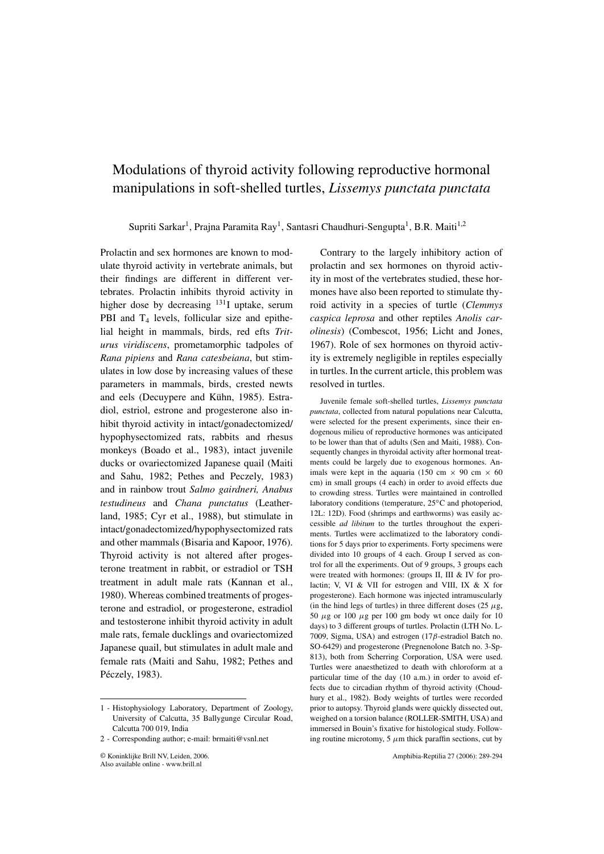## Modulations of thyroid activity following reproductive hormonal manipulations in soft-shelled turtles, *Lissemys punctata punctata*

Supriti Sarkar<sup>1</sup>, Praina Paramita Ray<sup>1</sup>, Santasri Chaudhuri-Sengupta<sup>1</sup>, B.R. Maiti<sup>1,2</sup>

Prolactin and sex hormones are known to modulate thyroid activity in vertebrate animals, but their findings are different in different vertebrates. Prolactin inhibits thyroid activity in higher dose by decreasing  $^{131}$ I uptake, serum PBI and  $T_4$  levels, follicular size and epithelial height in mammals, birds, red efts Triturus viridiscens, prometamorphic tadpoles of Rana pipiens and Rana catesbeiana, but stimulates in low dose by increasing values of these parameters in mammals, birds, crested newts and eels (Decuypere and Kühn, 1985). Estradiol, estriol, estrone and progesterone also inhibit thyroid activity in intact/gonadectomized/ hypophysectomized rats, rabbits and rhesus monkeys (Boado et al., 1983), intact juvenile ducks or ovariectomized Japanese quail (Maiti and Sahu, 1982; Pethes and Peczely, 1983) and in rainbow trout Salmo gairdneri, Anabus testudineus and Chana punctatus (Leatherland, 1985; Cyr et al., 1988), but stimulate in intact/gonadectomized/hypophysectomized rats and other mammals (Bisaria and Kapoor, 1976). Thyroid activity is not altered after progesterone treatment in rabbit, or estradiol or TSH treatment in adult male rats (Kannan et al., 1980). Whereas combined treatments of progesterone and estradiol, or progesterone, estradiol and testosterone inhibit thyroid activity in adult male rats, female ducklings and ovariectomized Japanese quail, but stimulates in adult male and female rats (Maiti and Sahu, 1982; Pethes and Péczely, 1983).

Contrary to the largely inhibitory action of prolactin and sex hormones on thyroid activity in most of the vertebrates studied, these hormones have also been reported to stimulate thyroid activity in a species of turtle (Clemmys caspica leprosa and other reptiles Anolis carolinesis) (Combescot, 1956; Licht and Jones, 1967). Role of sex hormones on thyroid activity is extremely negligible in reptiles especially in turtles. In the current article, this problem was resolved in turtles.

Juvenile female soft-shelled turtles, Lissemys punctata punctata, collected from natural populations near Calcutta, were selected for the present experiments, since their endogenous milieu of reproductive hormones was anticipated to be lower than that of adults (Sen and Maiti, 1988). Consequently changes in thyroidal activity after hormonal treatments could be largely due to exogenous hormones. Animals were kept in the aquaria (150 cm  $\times$  90 cm  $\times$  60 cm) in small groups (4 each) in order to avoid effects due to crowding stress. Turtles were maintained in controlled laboratory conditions (temperature, 25°C and photoperiod, 12L: 12D). Food (shrimps and earthworms) was easily accessible *ad libitum* to the turtles throughout the experiments. Turtles were acclimatized to the laboratory conditions for 5 days prior to experiments. Forty specimens were divided into 10 groups of 4 each. Group I served as control for all the experiments. Out of 9 groups, 3 groups each were treated with hormones: (groups II, III & IV for prolactin; V, VI & VII for estrogen and VIII, IX & X for progesterone). Each hormone was injected intramuscularly (in the hind legs of turtles) in three different doses (25  $\mu$ g, 50  $\mu$ g or 100  $\mu$ g per 100 gm body wt once daily for 10 days) to 3 different groups of turtles. Prolactin (LTH No. L-7009, Sigma, USA) and estrogen (17 $\beta$ -estradiol Batch no. SO-6429) and progesterone (Pregnenolone Batch no. 3-Sp-813), both from Scherring Corporation, USA were used. Turtles were anaesthetized to death with chloroform at a particular time of the day (10 a.m.) in order to avoid effects due to circadian rhythm of thyroid activity (Choudhury et al., 1982). Body weights of turtles were recorded prior to autopsy. Thyroid glands were quickly dissected out, weighed on a torsion balance (ROLLER-SMITH, USA) and immersed in Bouin's fixative for histological study. Following routine microtomy, 5  $\mu$ m thick paraffin sections, cut by

<sup>1 -</sup> Histophysiology Laboratory, Department of Zoology, University of Calcutta, 35 Ballygunge Circular Road, Calcutta 700 019, India

<sup>2 -</sup> Corresponding author; e-mail: brmaiti@vsnl.net